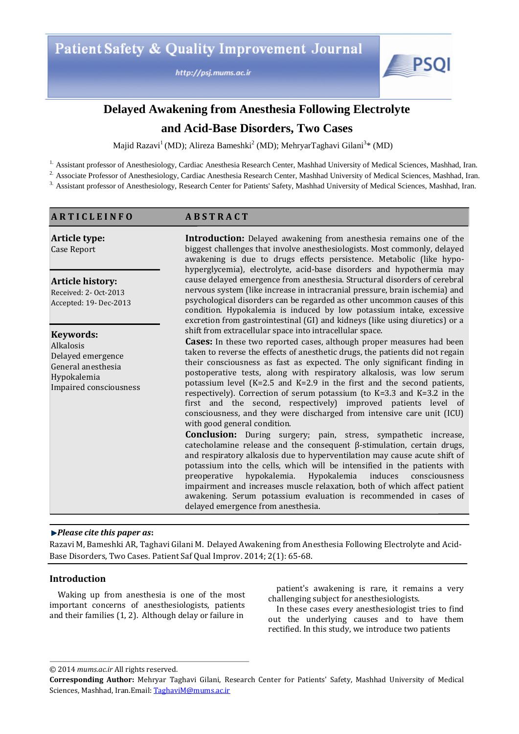http://psj.mums.ac.ir



# **Delayed Awakening from Anesthesia Following Electrolyte**

## **and Acid-Base Disorders, Two Cases**

Majid Razavi<sup>1</sup> (MD); Alireza Bameshki<sup>2</sup> (MD); MehryarTaghavi Gilani<sup>3</sup>\* (MD)

<sup>1.</sup> Assistant professor of Anesthesiology, Cardiac Anesthesia Research Center, Mashhad University of Medical Sciences, Mashhad, Iran.

<sup>2.</sup> Associate Professor of Anesthesiology, Cardiac Anesthesia Research Center, Mashhad University of Medical Sciences, Mashhad, Iran.

<sup>3.</sup> Assistant professor of Anesthesiology, Research Center for Patients' Safety, Mashhad University of Medical Sciences, Mashhad, Iran.

## **A R T I C L E I N F O**

**A B S T R A C T**

| Article type: |  |
|---------------|--|
| Case Report   |  |

**Article history:** 

Received: 2- Oct-2013 Accepted: 19- Dec-2013

**Keywords:**  Alkalosis Delayed emergence General anesthesia Hypokalemia Impaired consciousness **Introduction:** Delayed awakening from anesthesia remains one of the biggest challenges that involve anesthesiologists. Most commonly, delayed awakening is due to drugs effects persistence. Metabolic (like hypohyperglycemia), electrolyte, acid-base disorders and hypothermia may cause delayed emergence from anesthesia. Structural disorders of cerebral nervous system (like increase in intracranial pressure, brain ischemia) and psychological disorders can be regarded as other uncommon causes of this condition. Hypokalemia is induced by low potassium intake, excessive excretion from gastrointestinal (GI) and kidneys (like using diuretics) or a shift from extracellular space into intracellular space.

**Cases:** In these two reported cases, although proper measures had been taken to reverse the effects of anesthetic drugs, the patients did not regain their consciousness as fast as expected. The only significant finding in postoperative tests, along with respiratory alkalosis, was low serum potassium level (K=2.5 and K=2.9 in the first and the second patients, respectively). Correction of serum potassium (to K=3.3 and K=3.2 in the first and the second, respectively) improved patients level of consciousness, and they were discharged from intensive care unit (ICU) with good general condition.

**Conclusion:** During surgery; pain, stress, sympathetic increase, catecholamine release and the consequent β-stimulation, certain drugs, and respiratory alkalosis due to hyperventilation may cause acute shift of potassium into the cells, which will be intensified in the patients with<br>preoperative hypokalemia. Hypokalemia induces consciousness preoperative hypokalemia. Hypokalemia induces consciousness impairment and increases muscle relaxation, both of which affect patient awakening. Serum potassium evaluation is recommended in cases of delayed emergence from anesthesia.

## *Please cite this paper as***:**

Razavi M, Bameshki AR, Taghavi Gilani M. Delayed Awakening from Anesthesia Following Electrolyte and Acid-Base Disorders, Two Cases. Patient Saf Qual Improv. 2014; 2(1): 65-68.

## **Introduction**

Waking up from anesthesia is one of the most important concerns of anesthesiologists, patients and their families (1, 2). Although delay or failure in

patient's awakening is rare, it remains a very challenging subject for anesthesiologists.

In these cases every anesthesiologist tries to find out the underlying causes and to have them rectified. In this study, we introduce two patients

© 2014 *mums.ac.ir* All rights reserved.

**Corresponding Author:** Mehryar Taghavi Gilani, Research Center for Patients' Safety, Mashhad University of Medical Sciences, Mashhad, Iran.Email: TaghaviM@mums.ac.ir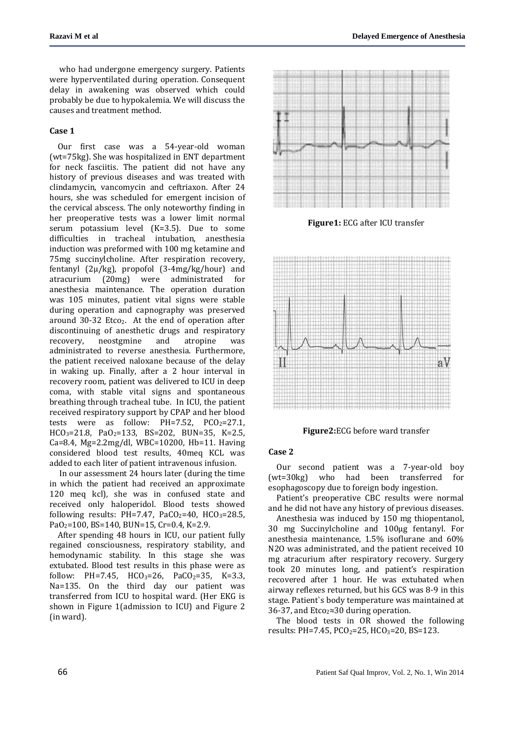who had undergone emergency surgery. Patients were hyperventilated during operation. Consequent delay in awakening was observed which could probably be due to hypokalemia. We will discuss the causes and treatment method.

### **Case 1**

Our first case was a 54-year-old woman (wt=75kg). She was hospitalized in ENT department for neck fasciitis. The patient did not have any history of previous diseases and was treated with clindamycin, vancomycin and ceftriaxon. After 24 hours, she was scheduled for emergent incision of the cervical abscess. The only noteworthy finding in her preoperative tests was a lower limit normal serum potassium level (K=3.5). Due to some difficulties in tracheal intubation, anesthesia induction was preformed with 100 mg ketamine and 75mg succinylcholine. After respiration recovery, fentanyl (2µ/kg), propofol (3-4mg/kg/hour) and atracurium (20mg) were administrated for anesthesia maintenance. The operation duration was 105 minutes, patient vital signs were stable during operation and capnography was preserved around 30-32 Etco<sub>2</sub>. At the end of operation after discontinuing of anesthetic drugs and respiratory recovery, neostgmine and atropine was administrated to reverse anesthesia. Furthermore, the patient received naloxane because of the delay in waking up. Finally, after a 2 hour interval in recovery room, patient was delivered to ICU in deep coma, with stable vital signs and spontaneous breathing through tracheal tube. In ICU, the patient received respiratory support by CPAP and her blood tests were as follow:  $PH=7.52$ ,  $PCO<sub>2</sub>=27.1$ ,  $HCO<sub>3</sub>=21.8$ ,  $PaO<sub>2</sub>=133$ ,  $BS=202$ ,  $BUN=35$ ,  $K=2.5$ , Ca=8.4, Mg=2.2mg/dl, WBC=10200, Hb=11. Having considered blood test results, 40meq KCL was added to each liter of patient intravenous infusion.

In our assessment 24 hours later (during the time in which the patient had received an approximate 120 meq kcl), she was in confused state and received only haloperidol. Blood tests showed following results: PH=7.47, PaCO<sub>2</sub>=40, HCO<sub>3</sub>=28.5, PaO<sub>2</sub>=100, BS=140, BUN=15, Cr=0.4, K=2.9.

After spending 48 hours in ICU, our patient fully regained consciousness, respiratory stability, and hemodynamic stability. In this stage she was extubated. Blood test results in this phase were as follow: PH=7.45, HCO<sub>3</sub>=26, PaCO<sub>2</sub>=35, K=3.3, Na=135. On the third day our patient was transferred from ICU to hospital ward. (Her EKG is shown in Figure 1(admission to ICU) and Figure 2 (in ward).



**Figure1:** ECG after ICU transfer



**Figure2:**ECG before ward transfer

#### **Case 2**

Our second patient was a 7-year-old boy (wt=30kg) who had been transferred for esophagoscopy due to foreign body ingestion.

Patient's preoperative CBC results were normal and he did not have any history of previous diseases.

Anesthesia was induced by 150 mg thiopentanol, 30 mg Succinylcholine and 100μg fentanyl. For anesthesia maintenance, 1.5% isoflurane and 60% N2O was administrated, and the patient received 10 mg atracurium after respiratory recovery. Surgery took 20 minutes long, and patient's respiration recovered after 1 hour. He was extubated when airway reflexes returned, but his GCS was 8-9 in this stage. Patient`s body temperature was maintained at 36-37, and Etco<sub>2</sub>≈30 during operation.

The blood tests in OR showed the following results: PH=7.45,  $PCO_2 = 25$ ,  $HCO_3 = 20$ , BS=123.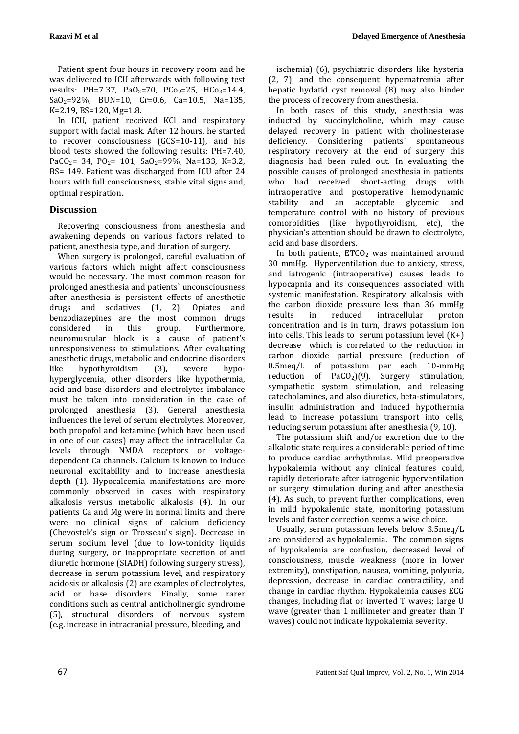Patient spent four hours in recovery room and he was delivered to ICU afterwards with following test results: PH=7.37, PaO<sub>2</sub>=70, PCo<sub>2</sub>=25, HCo<sub>3</sub>=14.4, SaO2=92%, BUN=10, Cr=0.6, Ca=10.5, Na=135, K=2.19, BS=120, Mg=1.8.

In ICU, patient received KCl and respiratory support with facial mask. After 12 hours, he started to recover consciousness (GCS=10-11), and his blood tests showed the following results: PH=7.40, PaCO<sub>2</sub>= 34, PO<sub>2</sub>= 101, SaO<sub>2</sub>=99%, Na=133, K=3.2, BS= 149. Patient was discharged from ICU after 24 hours with full consciousness, stable vital signs and, optimal respiration.

## **Discussion**

Recovering consciousness from anesthesia and awakening depends on various factors related to patient, anesthesia type, and duration of surgery.

When surgery is prolonged, careful evaluation of various factors which might affect consciousness would be necessary. The most common reason for prolonged anesthesia and patients` unconsciousness after anesthesia is persistent effects of anesthetic drugs and sedatives (1, 2). Opiates and benzodiazepines are the most common drugs considered in this group. Furthermore, neuromuscular block is a cause of patient's unresponsiveness to stimulations. After evaluating anesthetic drugs, metabolic and endocrine disorders like hypothyroidism (3), severe hypohyperglycemia, other disorders like hypothermia, acid and base disorders and electrolytes imbalance must be taken into consideration in the case of prolonged anesthesia (3). General anesthesia influences the level of serum electrolytes. Moreover, both propofol and ketamine (which have been used in one of our cases) may affect the intracellular Ca levels through NMDA receptors or voltagedependent Ca channels. Calcium is known to induce neuronal excitability and to increase anesthesia depth (1). Hypocalcemia manifestations are more commonly observed in cases with respiratory alkalosis versus metabolic alkalosis (4). In our patients Ca and Mg were in normal limits and there were no clinical signs of calcium deficiency (Chevostek's sign or Trosseau's sign). Decrease in serum sodium level (due to low-tonicity liquids during surgery, or inappropriate secretion of anti diuretic hormone (SIADH) following surgery stress), decrease in serum potassium level, and respiratory acidosis or alkalosis (2) are examples of electrolytes, acid or base disorders. Finally, some rarer conditions such as central anticholinergic syndrome (5), structural disorders of nervous system (e.g. increase in intracranial pressure, bleeding, and

ischemia) (6), psychiatric disorders like hysteria (2, 7), and the consequent hypernatremia after hepatic hydatid cyst removal (8) may also hinder the process of recovery from anesthesia.

In both cases of this study, anesthesia was inducted by succinylcholine, which may cause delayed recovery in patient with cholinesterase deficiency. Considering patients` spontaneous respiratory recovery at the end of surgery this diagnosis had been ruled out. In evaluating the possible causes of prolonged anesthesia in patients who had received short-acting drugs with intraoperative and postoperative hemodynamic stability and an acceptable glycemic and temperature control with no history of previous comorbidities (like hypothyroidism, etc), the physician's attention should be drawn to electrolyte, acid and base disorders.

In both patients,  $ETCO<sub>2</sub>$  was maintained around 30 mmHg. Hyperventilation due to anxiety, stress, and iatrogenic (intraoperative) causes leads to hypocapnia and its consequences associated with systemic manifestation. Respiratory alkalosis with the carbon dioxide pressure less than 36 mmHg results in reduced intracellular proton concentration and is in turn, draws potassium ion into cells. This leads to serum potassium level  $(K+)$ decrease which is correlated to the reduction in carbon dioxide partial pressure (reduction of 0.5meq/L of potassium per each 10-mmHg reduction of  $PaCO<sub>2</sub>$ )(9). Surgery stimulation, sympathetic system stimulation, and releasing catecholamines, and also diuretics, beta-stimulators, insulin administration and induced hypothermia lead to increase potassium transport into cells, reducing serum potassium after anesthesia (9, 10).

The potassium shift and/or excretion due to the alkalotic state requires a considerable period of time to produce cardiac arrhythmias. Mild preoperative hypokalemia without any clinical features could, rapidly deteriorate after iatrogenic hyperventilation or surgery stimulation during and after anesthesia (4). As such, to prevent further complications, even in mild hypokalemic state, monitoring potassium levels and faster correction seems a wise choice.

Usually, serum potassium levels below 3.5meq/L are considered as hypokalemia. The common signs of hypokalemia are confusion, decreased level of consciousness, muscle weakness (more in lower extremity), constipation, nausea, vomiting, polyuria, depression, decrease in cardiac contractility, and change in cardiac rhythm. Hypokalemia causes ECG changes, including flat or inverted T waves; large U wave (greater than 1 millimeter and greater than T waves) could not indicate hypokalemia severity.